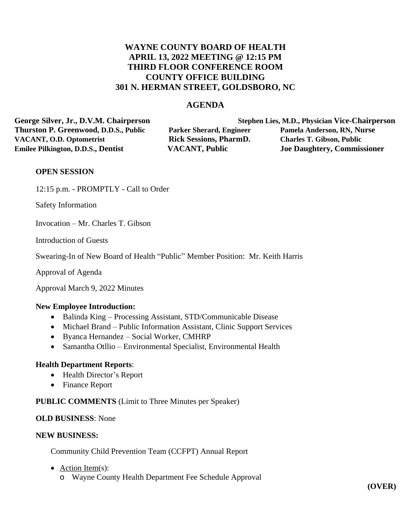# **WAYNE COUNTY BOARD OF HEALTH APRIL 13, 2022 MEETING @ 12:15 PM THIRD FLOOR CONFERENCE ROOM COUNTY OFFICE BUILDING 301 N. HERMAN STREET, GOLDSBORO, NC**

## **AGENDA**

**George Silver, Jr., D.V.M. Chairperson Stephen Lies, M.D., Physician Vice-Chairperson Thurston P. Greenwood, D.D.S., Public Parker Sherard, Engineer Pamela Anderson, RN, Nurse VACANT, O.D. Optometrist Rick Sessions, PharmD. Charles T. Gibson, Public Emilee Pilkington, D.D.S., Dentist VACANT, Public Joe Daughtery, Commissioner**

### **OPEN SESSION**

12:15 p.m. - PROMPTLY - Call to Order

Safety Information

Invocation – Mr. Charles T. Gibson

Introduction of Guests

Swearing-In of New Board of Health "Public" Member Position: Mr. Keith Harris

Approval of Agenda

Approval March 9, 2022 Minutes

#### **New Employee Introduction:**

- Balinda King Processing Assistant, STD/Communicable Disease
- Michael Brand Public Information Assistant, Clinic Support Services
- Byanca Hernandez Social Worker, CMHRP
- Samantha Otllio Environmental Specialist, Environmental Health

#### **Health Department Reports**:

- Health Director's Report
- Finance Report

#### **PUBLIC COMMENTS** (Limit to Three Minutes per Speaker)

#### **OLD BUSINESS**: None

### **NEW BUSINESS:**

Community Child Prevention Team (CCFPT) Annual Report

- Action Item(s):
	- o Wayne County Health Department Fee Schedule Approval